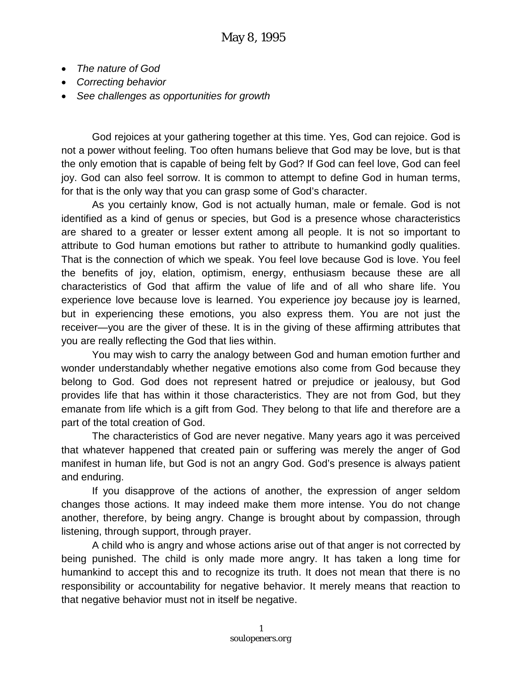- *The nature of God*
- *Correcting behavior*
- *See challenges as opportunities for growth*

God rejoices at your gathering together at this time. Yes, God can rejoice. God is not a power without feeling. Too often humans believe that God may be love, but is that the only emotion that is capable of being felt by God? If God can feel love, God can feel joy. God can also feel sorrow. It is common to attempt to define God in human terms, for that is the only way that you can grasp some of God's character.

As you certainly know, God is not actually human, male or female. God is not identified as a kind of genus or species, but God is a presence whose characteristics are shared to a greater or lesser extent among all people. It is not so important to attribute to God human emotions but rather to attribute to humankind godly qualities. That is the connection of which we speak. You feel love because God is love. You feel the benefits of joy, elation, optimism, energy, enthusiasm because these are all characteristics of God that affirm the value of life and of all who share life. You experience love because love is learned. You experience joy because joy is learned, but in experiencing these emotions, you also express them. You are not just the receiver—you are the giver of these. It is in the giving of these affirming attributes that you are really reflecting the God that lies within.

You may wish to carry the analogy between God and human emotion further and wonder understandably whether negative emotions also come from God because they belong to God. God does not represent hatred or prejudice or jealousy, but God provides life that has within it those characteristics. They are not from God, but they emanate from life which is a gift from God. They belong to that life and therefore are a part of the total creation of God.

The characteristics of God are never negative. Many years ago it was perceived that whatever happened that created pain or suffering was merely the anger of God manifest in human life, but God is not an angry God. God's presence is always patient and enduring.

If you disapprove of the actions of another, the expression of anger seldom changes those actions. It may indeed make them more intense. You do not change another, therefore, by being angry. Change is brought about by compassion, through listening, through support, through prayer.

A child who is angry and whose actions arise out of that anger is not corrected by being punished. The child is only made more angry. It has taken a long time for humankind to accept this and to recognize its truth. It does not mean that there is no responsibility or accountability for negative behavior. It merely means that reaction to that negative behavior must not in itself be negative.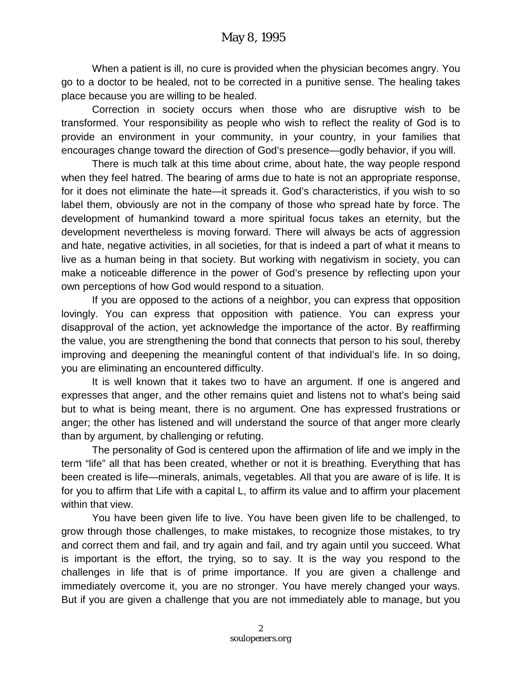When a patient is ill, no cure is provided when the physician becomes angry. You go to a doctor to be healed, not to be corrected in a punitive sense. The healing takes place because you are willing to be healed.

Correction in society occurs when those who are disruptive wish to be transformed. Your responsibility as people who wish to reflect the reality of God is to provide an environment in your community, in your country, in your families that encourages change toward the direction of God's presence—godly behavior, if you will.

There is much talk at this time about crime, about hate, the way people respond when they feel hatred. The bearing of arms due to hate is not an appropriate response, for it does not eliminate the hate—it spreads it. God's characteristics, if you wish to so label them, obviously are not in the company of those who spread hate by force. The development of humankind toward a more spiritual focus takes an eternity, but the development nevertheless is moving forward. There will always be acts of aggression and hate, negative activities, in all societies, for that is indeed a part of what it means to live as a human being in that society. But working with negativism in society, you can make a noticeable difference in the power of God's presence by reflecting upon your own perceptions of how God would respond to a situation.

If you are opposed to the actions of a neighbor, you can express that opposition lovingly. You can express that opposition with patience. You can express your disapproval of the action, yet acknowledge the importance of the actor. By reaffirming the value, you are strengthening the bond that connects that person to his soul, thereby improving and deepening the meaningful content of that individual's life. In so doing, you are eliminating an encountered difficulty.

It is well known that it takes two to have an argument. If one is angered and expresses that anger, and the other remains quiet and listens not to what's being said but to what is being meant, there is no argument. One has expressed frustrations or anger; the other has listened and will understand the source of that anger more clearly than by argument, by challenging or refuting.

The personality of God is centered upon the affirmation of life and we imply in the term "life" all that has been created, whether or not it is breathing. Everything that has been created is life—minerals, animals, vegetables. All that you are aware of is life. It is for you to affirm that Life with a capital L, to affirm its value and to affirm your placement within that view.

You have been given life to live. You have been given life to be challenged, to grow through those challenges, to make mistakes, to recognize those mistakes, to try and correct them and fail, and try again and fail, and try again until you succeed. What is important is the effort, the trying, so to say. It is the way you respond to the challenges in life that is of prime importance. If you are given a challenge and immediately overcome it, you are no stronger. You have merely changed your ways. But if you are given a challenge that you are not immediately able to manage, but you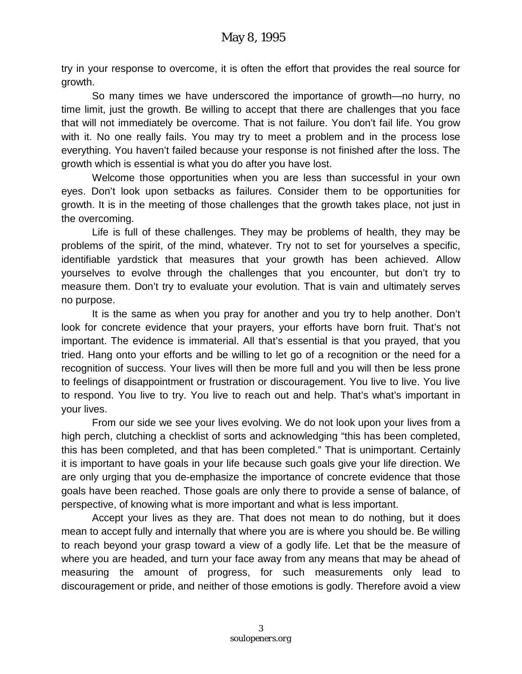try in your response to overcome, it is often the effort that provides the real source for growth.

So many times we have underscored the importance of growth—no hurry, no time limit, just the growth. Be willing to accept that there are challenges that you face that will not immediately be overcome. That is not failure. You don't fail life. You grow with it. No one really fails. You may try to meet a problem and in the process lose everything. You haven't failed because your response is not finished after the loss. The growth which is essential is what you do after you have lost.

Welcome those opportunities when you are less than successful in your own eyes. Don't look upon setbacks as failures. Consider them to be opportunities for growth. It is in the meeting of those challenges that the growth takes place, not just in the overcoming.

Life is full of these challenges. They may be problems of health, they may be problems of the spirit, of the mind, whatever. Try not to set for yourselves a specific, identifiable yardstick that measures that your growth has been achieved. Allow yourselves to evolve through the challenges that you encounter, but don't try to measure them. Don't try to evaluate your evolution. That is vain and ultimately serves no purpose.

It is the same as when you pray for another and you try to help another. Don't look for concrete evidence that your prayers, your efforts have born fruit. That's not important. The evidence is immaterial. All that's essential is that you prayed, that you tried. Hang onto your efforts and be willing to let go of a recognition or the need for a recognition of success. Your lives will then be more full and you will then be less prone to feelings of disappointment or frustration or discouragement. You live to live. You live to respond. You live to try. You live to reach out and help. That's what's important in your lives.

From our side we see your lives evolving. We do not look upon your lives from a high perch, clutching a checklist of sorts and acknowledging "this has been completed, this has been completed, and that has been completed." That is unimportant. Certainly it is important to have goals in your life because such goals give your life direction. We are only urging that you de-emphasize the importance of concrete evidence that those goals have been reached. Those goals are only there to provide a sense of balance, of perspective, of knowing what is more important and what is less important.

Accept your lives as they are. That does not mean to do nothing, but it does mean to accept fully and internally that where you are is where you should be. Be willing to reach beyond your grasp toward a view of a godly life. Let that be the measure of where you are headed, and turn your face away from any means that may be ahead of measuring the amount of progress, for such measurements only lead to discouragement or pride, and neither of those emotions is godly. Therefore avoid a view